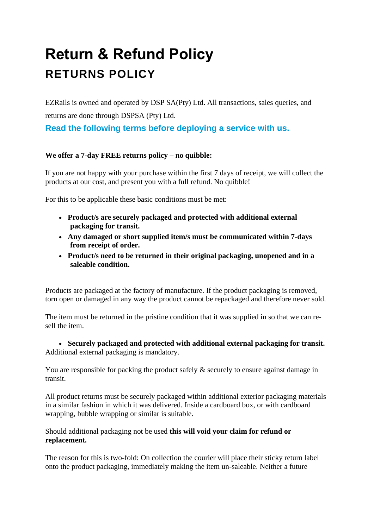# **Return & Refund Policy RETURNS POLICY**

EZRails is owned and operated by DSP SA(Pty) Ltd. All transactions, sales queries, and returns are done through DSPSA (Pty) Ltd.

**Read the following terms before deploying a service with us.**

### **We offer a 7-day FREE returns policy – no quibble:**

If you are not happy with your purchase within the first 7 days of receipt, we will collect the products at our cost, and present you with a full refund. No quibble!

For this to be applicable these basic conditions must be met:

- **Product/s are securely packaged and protected with additional external packaging for transit.**
- **Any damaged or short supplied item/s must be communicated within 7-days from receipt of order.**
- **Product/s need to be returned in their original packaging, unopened and in a saleable condition.**

Products are packaged at the factory of manufacture. If the product packaging is removed, torn open or damaged in any way the product cannot be repackaged and therefore never sold.

The item must be returned in the pristine condition that it was supplied in so that we can resell the item.

• **Securely packaged and protected with additional external packaging for transit.** Additional external packaging is mandatory.

You are responsible for packing the product safely  $\&$  securely to ensure against damage in transit.

All product returns must be securely packaged within additional exterior packaging materials in a similar fashion in which it was delivered. Inside a cardboard box, or with cardboard wrapping, bubble wrapping or similar is suitable.

Should additional packaging not be used **this will void your claim for refund or replacement.**

The reason for this is two-fold: On collection the courier will place their sticky return label onto the product packaging, immediately making the item un-saleable. Neither a future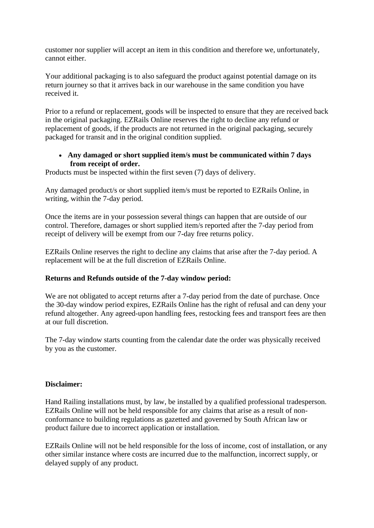customer nor supplier will accept an item in this condition and therefore we, unfortunately, cannot either.

Your additional packaging is to also safeguard the product against potential damage on its return journey so that it arrives back in our warehouse in the same condition you have received it.

Prior to a refund or replacement, goods will be inspected to ensure that they are received back in the original packaging. EZRails Online reserves the right to decline any refund or replacement of goods, if the products are not returned in the original packaging, securely packaged for transit and in the original condition supplied.

#### • **Any damaged or short supplied item/s must be communicated within 7 days from receipt of order.**

Products must be inspected within the first seven (7) days of delivery.

Any damaged product/s or short supplied item/s must be reported to EZRails Online, in writing, within the 7-day period.

Once the items are in your possession several things can happen that are outside of our control. Therefore, damages or short supplied item/s reported after the 7-day period from receipt of delivery will be exempt from our 7-day free returns policy.

EZRails Online reserves the right to decline any claims that arise after the 7-day period. A replacement will be at the full discretion of EZRails Online.

#### **Returns and Refunds outside of the 7-day window period:**

We are not obligated to accept returns after a 7-day period from the date of purchase. Once the 30-day window period expires, EZRails Online has the right of refusal and can deny your refund altogether. Any agreed-upon handling fees, restocking fees and transport fees are then at our full discretion.

The 7-day window starts counting from the calendar date the order was physically received by you as the customer.

#### **Disclaimer:**

Hand Railing installations must, by law, be installed by a qualified professional tradesperson. EZRails Online will not be held responsible for any claims that arise as a result of nonconformance to building regulations as gazetted and governed by South African law or product failure due to incorrect application or installation.

EZRails Online will not be held responsible for the loss of income, cost of installation, or any other similar instance where costs are incurred due to the malfunction, incorrect supply, or delayed supply of any product.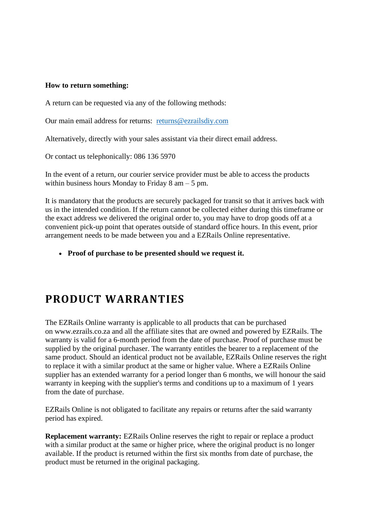#### **How to return something:**

A return can be requested via any of the following methods:

Our main email address for returns: [returns@ezrailsdiy.com](mailto:returns@ezrailsdiy.com)

Alternatively, directly with your sales assistant via their direct email address.

Or contact us telephonically: 086 136 5970

In the event of a return, our courier service provider must be able to access the products within business hours Monday to Friday 8 am – 5 pm.

It is mandatory that the products are securely packaged for transit so that it arrives back with us in the intended condition. If the return cannot be collected either during this timeframe or the exact address we delivered the original order to, you may have to drop goods off at a convenient pick-up point that operates outside of standard office hours. In this event, prior arrangement needs to be made between you and a EZRails Online representative.

• **Proof of purchase to be presented should we request it.**

## **PRODUCT WARRANTIES**

The EZRails Online warranty is applicable to all products that can be purchased on www.ezrails.co.za and all the affiliate sites that are owned and powered by EZRails. The warranty is valid for a 6-month period from the date of purchase. Proof of purchase must be supplied by the original purchaser. The warranty entitles the bearer to a replacement of the same product. Should an identical product not be available, EZRails Online reserves the right to replace it with a similar product at the same or higher value. Where a EZRails Online supplier has an extended warranty for a period longer than 6 months, we will honour the said warranty in keeping with the supplier's terms and conditions up to a maximum of 1 years from the date of purchase.

EZRails Online is not obligated to facilitate any repairs or returns after the said warranty period has expired.

**Replacement warranty:** EZRails Online reserves the right to repair or replace a product with a similar product at the same or higher price, where the original product is no longer available. If the product is returned within the first six months from date of purchase, the product must be returned in the original packaging.